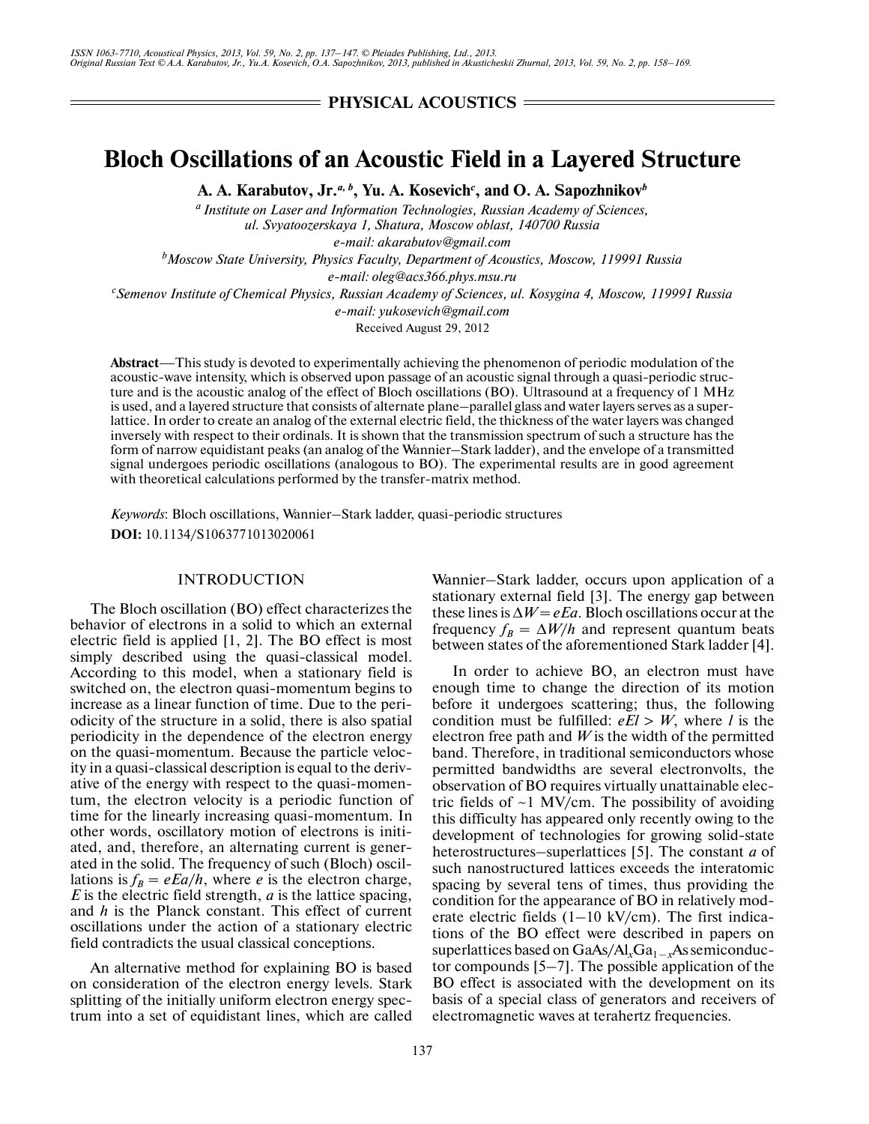# **PHYSICAL ACOUSTICS**

# **Bloch Oscillations of an Acoustic Field in a Layered Structure**

**A. A. Karabutov, Jr.***a, b***, Yu. A. Kosevich***<sup>c</sup>* **, and O. A. Sapozhnikov***<sup>b</sup>*

*a Institute on Laser and Information Technologies, Russian Academy of Sciences, ul. Svyatoozerskaya 1, Shatura, Moscow oblast, 140700 Russia e-mail: akarabutov@gmail.com*

*b Moscow State University, Physics Faculty, Department of Acoustics, Moscow, 119991 Russia*

*e-mail: oleg@acs366.phys.msu.ru*

*c Semenov Institute of Chemical Physics, Russian Academy of Sciences, ul. Kosygina 4, Moscow, 119991 Russia*

*e-mail: yukosevich@gmail.com*

Received August 29, 2012

**Abstract**—This study is devoted to experimentally achieving the phenomenon of periodic modulation of the acoustic-wave intensity, which is observed upon passage of an acoustic signal through a quasi-periodic struc ture and is the acoustic analog of the effect of Bloch oscillations (BO). Ultrasound at a frequency of 1 MHz is used, and a layered structure that consists of alternate plane–parallel glass and water layers serves as a super lattice. In order to create an analog of the external electric field, the thickness of the water layers was changed inversely with respect to their ordinals. It is shown that the transmission spectrum of such a structure has the form of narrow equidistant peaks (an analog of the Wannier–Stark ladder), and the envelope of a transmitted signal undergoes periodic oscillations (analogous to BO). The experimental results are in good agreement with theoretical calculations performed by the transfer-matrix method.

*Keywords*: Bloch oscillations, Wannier–Stark ladder, quasi-periodic structures **DOI:** 10.1134/S1063771013020061

# INTRODUCTION

The Bloch oscillation (BO) effect characterizes the behavior of electrons in a solid to which an external electric field is applied [1, 2]. The BO effect is most simply described using the quasi-classical model. According to this model, when a stationary field is switched on, the electron quasi-momentum begins to increase as a linear function of time. Due to the peri odicity of the structure in a solid, there is also spatial periodicity in the dependence of the electron energy on the quasi-momentum. Because the particle veloc ity in a quasi-classical description is equal to the deriv ative of the energy with respect to the quasi-momen tum, the electron velocity is a periodic function of time for the linearly increasing quasi-momentum. In other words, oscillatory motion of electrons is initi ated, and, therefore, an alternating current is gener ated in the solid. The frequency of such (Bloch) oscil lations is  $f_B = eEa/h$ , where *e* is the electron charge, *E* is the electric field strength, *a* is the lattice spacing, and *h* is the Planck constant. This effect of current oscillations under the action of a stationary electric field contradicts the usual classical conceptions.

An alternative method for explaining BO is based on consideration of the electron energy levels. Stark splitting of the initially uniform electron energy spec trum into a set of equidistant lines, which are called

Wannier–Stark ladder, occurs upon application of a stationary external field [3]. The energy gap between these lines is  $\Delta W = eEa$ . Bloch oscillations occur at the frequency  $f_B = \Delta W/h$  and represent quantum beats between states of the aforementioned Stark ladder [4].

In order to achieve BO, an electron must have enough time to change the direction of its motion before it undergoes scattering; thus, the following condition must be fulfilled:  $eE_l > W$ , where *l* is the electron free path and  $W$  is the width of the permitted band. Therefore, in traditional semiconductors whose permitted bandwidths are several electronvolts, the observation of BO requires virtually unattainable elec tric fields of  $\sim$ 1 MV/cm. The possibility of avoiding this difficulty has appeared only recently owing to the development of technologies for growing solid-state heterostructures–superlattices [5]. The constant *a* of such nanostructured lattices exceeds the interatomic spacing by several tens of times, thus providing the condition for the appearance of BO in relatively mod erate electric fields (1–10 kV/cm). The first indica tions of the BO effect were described in papers on superlattices based on GaAs/Al<sub>x</sub>Ga<sub>1 – *x*As semiconduc-</sub> tor compounds  $[5-7]$ . The possible application of the BO effect is associated with the development on its basis of a special class of generators and receivers of electromagnetic waves at terahertz frequencies.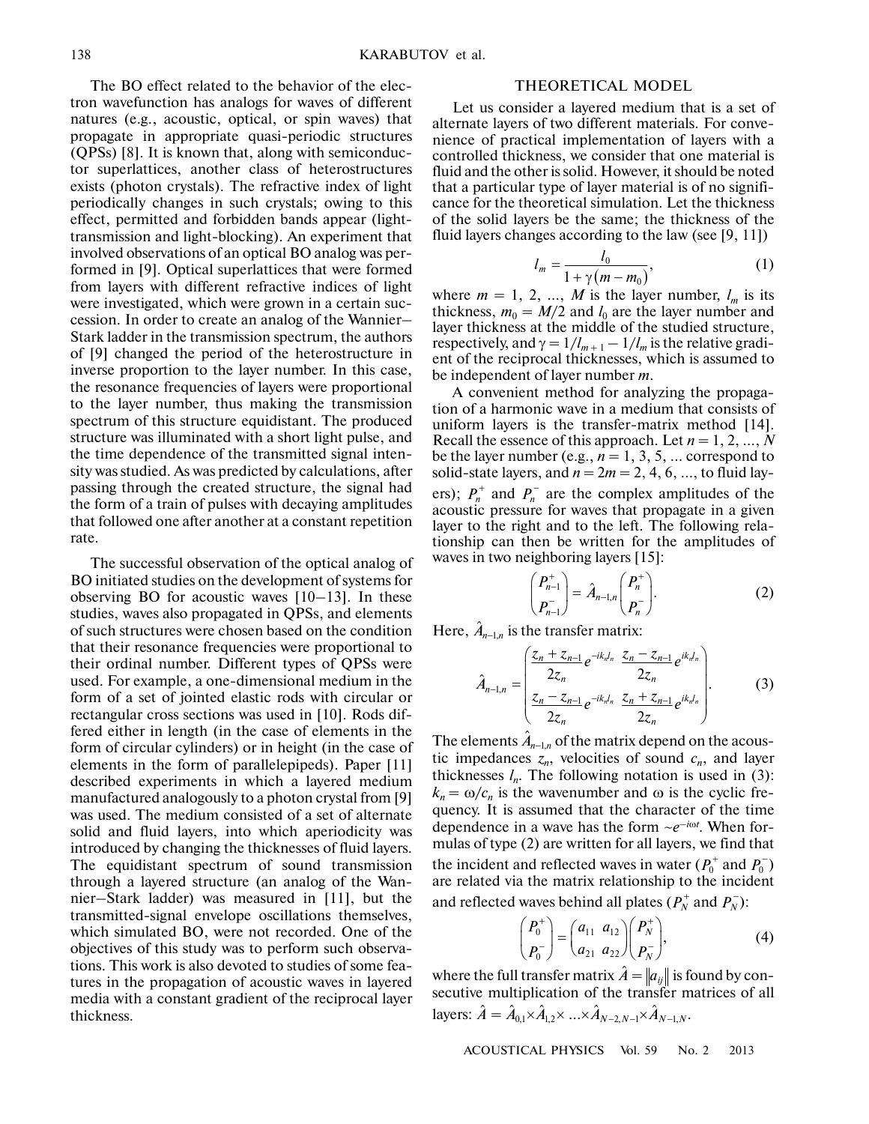The BO effect related to the behavior of the elec tron wavefunction has analogs for waves of different natures (e.g., acoustic, optical, or spin waves) that propagate in appropriate quasi-periodic structures (QPSs) [8]. It is known that, along with semiconduc tor superlattices, another class of heterostructures exists (photon crystals). The refractive index of light periodically changes in such crystals; owing to this effect, permitted and forbidden bands appear (light transmission and light-blocking). An experiment that involved observations of an optical BO analog was per formed in [9]. Optical superlattices that were formed from layers with different refractive indices of light were investigated, which were grown in a certain suc cession. In order to create an analog of the Wannier– Stark ladder in the transmission spectrum, the authors of [9] changed the period of the heterostructure in inverse proportion to the layer number. In this case, the resonance frequencies of layers were proportional to the layer number, thus making the transmission spectrum of this structure equidistant. The produced structure was illuminated with a short light pulse, and the time dependence of the transmitted signal inten sity was studied. As was predicted by calculations, after passing through the created structure, the signal had the form of a train of pulses with decaying amplitudes that followed one after another at a constant repetition rate.

The successful observation of the optical analog of BO initiated studies on the development of systems for observing BO for acoustic waves [10–13]. In these studies, waves also propagated in QPSs, and elements of such structures were chosen based on the condition that their resonance frequencies were proportional to their ordinal number. Different types of QPSs were used. For example, a one-dimensional medium in the form of a set of jointed elastic rods with circular or rectangular cross sections was used in [10]. Rods dif fered either in length (in the case of elements in the form of circular cylinders) or in height (in the case of elements in the form of parallelepipeds). Paper [11] described experiments in which a layered medium manufactured analogously to a photon crystal from [9] was used. The medium consisted of a set of alternate solid and fluid layers, into which aperiodicity was introduced by changing the thicknesses of fluid layers. The equidistant spectrum of sound transmission through a layered structure (an analog of the Wan nier–Stark ladder) was measured in [11], but the transmitted-signal envelope oscillations themselves, which simulated BO, were not recorded. One of the objectives of this study was to perform such observa tions. This work is also devoted to studies of some fea tures in the propagation of acoustic waves in layered media with a constant gradient of the reciprocal layer thickness.

#### THEORETICAL MODEL

Let us consider a layered medium that is a set of alternate layers of two different materials. For conve nience of practical implementation of layers with a controlled thickness, we consider that one material is fluid and the other is solid. However, it should be noted that a particular type of layer material is of no signifi cance for the theoretical simulation. Let the thickness of the solid layers be the same; the thickness of the fluid layers changes according to the law (see [9, 11])

$$
l_m = \frac{l_0}{1 + \gamma (m - m_0)},
$$
 (1)

where  $m = 1, 2, ..., M$  is the layer number,  $l_m$  is its thickness,  $m_0 = M/2$  and  $l_0$  are the layer number and layer thickness at the middle of the studied structure, respectively, and  $\gamma = 1/l_{m+1} - 1/l_m$  is the relative gradient of the reciprocal thicknesses, which is assumed to be independent of layer number *m*.

A convenient method for analyzing the propaga tion of a harmonic wave in a medium that consists of uniform layers is the transfer-matrix method [14]. Recall the essence of this approach. Let *n* = 1, 2, …, *N* be the layer number (e.g.,  $n = 1, 3, 5, \dots$  correspond to solid-state layers, and  $n = 2m = 2, 4, 6, \dots$ , to fluid layers);  $P_n^+$  and  $P_n^-$  are the complex amplitudes of the acoustic pressure for waves that propagate in a given layer to the right and to the left. The following rela tionship can then be written for the amplitudes of waves in two neighboring layers [15]:

$$
\begin{pmatrix} P_{n-1}^+ \\ P_{n-1}^- \end{pmatrix} = \hat{A}_{n-1,n} \begin{pmatrix} P_n^+ \\ P_n^- \end{pmatrix}.
$$
\nHere,  $\hat{A}_{n-1,n}$  is the transfer matrix:

\n
$$
\begin{pmatrix} z_n + z_{n-1} e^{-ik_n t} & z_n - z_{n-1} e^{-ik_n t} \\ z_n^+ (z_n^+) e^{-ik_n t} & z_n^- (z_n^+) e^{-ik_n t} \end{pmatrix}
$$
\n(2)

−!

$$
\hat{A}_{n-1,n} = \begin{pmatrix} \frac{z_n + z_{n-1}}{2z_n} e^{-ik_n t_n} & \frac{z_n - z_{n-1}}{2z_n} e^{ik_n t_n} \\ \frac{z_n - z_{n-1}}{2z_n} e^{-ik_n t_n} & \frac{z_n + z_{n-1}}{2z_n} e^{ik_n t_n} \end{pmatrix} .
$$
\nThe elements  $\hat{A}_{n-1,n}$  of the matrix depend on the acous-

tic impedances  $z_n$ , velocities of sound  $c_n$ , and layer thicknesses  $l_n$ . The following notation is used in (3):  $k_n = \omega/c_n$  is the wavenumber and  $\omega$  is the cyclic frequency. It is assumed that the character of the time dependence in a wave has the form  $\sim e^{-i\omega t}$ . When formulas of type (2) are written for all layers, we find that the incident and reflected waves in water  $(P_0^+$  and  $P_0^-$ ) are related via the matrix relationship to the incident and reflected waves behind all plates  $(P_N^+$  and  $P_N^-$ ):

$$
\begin{pmatrix} P_0^+ \\ P_0^- \end{pmatrix} = \begin{pmatrix} a_{11} & a_{12} \\ a_{21} & a_{22} \end{pmatrix} \begin{pmatrix} P_N^+ \\ P_N^- \end{pmatrix},
$$
 (4)

where the full transfer matrix  $\hat{A} = ||a_{ij}||$  is found by consecutive multiplication of the transfer matrices of all layers:  $\hat{A} = \hat{A}_{0,1} \times \hat{A}_{1,2} \times ... \times \hat{A}_{N-2,N-1} \times$ reform matrix  $\hat{A} = ||a_{ij}||$  is form at also the transfer m<br> $\hat{A}_{1,2} \times ... \times \hat{A}_{N-2,N-1} \times \hat{A}_{N-1,N}$ .

ACOUSTICAL PHYSICS Vol. 59 No. 2 2013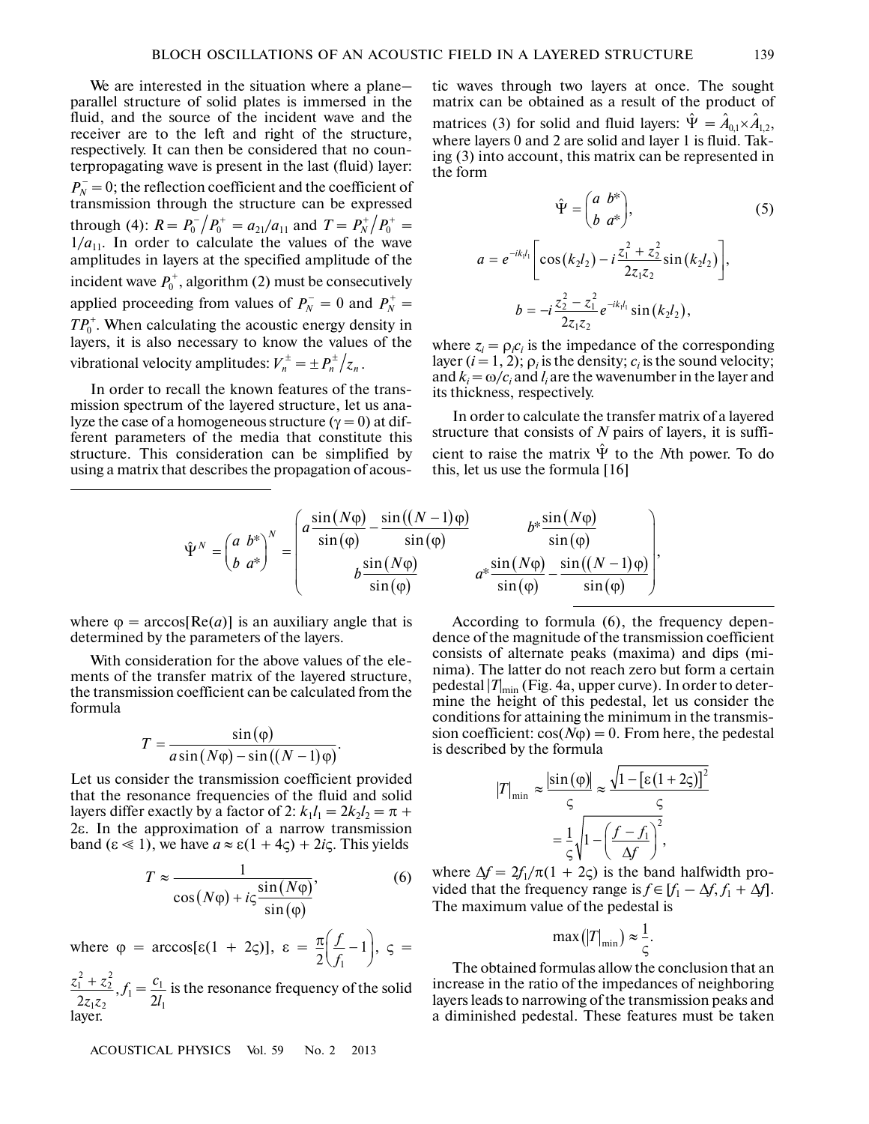We are interested in the situation where a plane– parallel structure of solid plates is immersed in the fluid, and the source of the incident wave and the receiver are to the left and right of the structure, respectively. It can then be considered that no coun terpropagating wave is present in the last (fluid) layer:  $P_N^-$  = 0; the reflection coefficient and the coefficient of transmission through the structure can be expressed through (4):  $R = P_0^- / P_0^+ = a_{21}/a_{11}$  and  $T = P_N^+ / P_0^+ =$  $1/a_{11}$ . In order to calculate the values of the wave amplitudes in layers at the specified amplitude of the incident wave  $P_0^+$ , algorithm (2) must be consecutively applied proceeding from values of  $P_N^- = 0$  and  $P_N^+ = 0$  $TP_0^+$ . When calculating the acoustic energy density in layers, it is also necessary to know the values of the vibrational velocity amplitudes:  $V_n^{\pm} = \pm P_n^{\pm}/z_n$ . For the spin of the last (find) lays<br>
ion coefficient and the coefficient<br>
ugh the structure can be express<br>  $P_0^- / P_0^+ = a_{21}/a_{11}$  and  $T = P_N^+ / P_0^+$ 0 −

In order to recall the known features of the trans mission spectrum of the layered structure, let us ana lyze the case of a homogeneous structure ( $\gamma = 0$ ) at different parameters of the media that constitute this structure. This consideration can be simplified by using a matrix that describes the propagation of acous-

tic waves through two layers at once. The sought matrix can be obtained as a result of the product of matrices (3) for solid and fluid layers:  $\hat{\Psi} = \hat{A}_{0,1} \times \hat{A}_{1,2}$ , where layers 0 and 2 are solid and layer 1 is fluid. Tak ing (3) into account, this matrix can be represented in the form

$$
\hat{\Psi} = \begin{pmatrix} a & b^* \\ b & a^* \end{pmatrix}, \tag{5}
$$
\n
$$
a = e^{-ik_1l_1} \left[ \cos(k_2l_2) - i \frac{z_1^2 + z_2^2}{2z_1z_2} \sin(k_2l_2) \right],
$$
\n
$$
b = -i \frac{z_2^2 - z_1^2}{2z_1z_2} e^{-ik_1l_1} \sin(k_2l_2),
$$

where  $z_i = \rho_i c_i$  is the impedance of the corresponding layer  $(i = 1, 2)$ ;  $\rho_i$  is the density;  $c_i$  is the sound velocity; and  $k_i = \omega/c_i$  and  $l_i$  are the wavenumber in the layer and its thickness, respectively.

In order to calculate the transfer matrix of a layered structure that consists of *N* pairs of layers, it is suffi cient to raise the matrix  $\hat{\Psi}$  to the *N*th power. To do this, let us use the formula [16]

$$
\hat{\Psi}^{N} = \begin{pmatrix} a & b^{*} \\ b & a^{*} \end{pmatrix}^{N} = \begin{pmatrix} a\frac{\sin(N\varphi)}{\sin(\varphi)} - \frac{\sin((N-1)\varphi)}{\sin(\varphi)} & b^{*}\frac{\sin(N\varphi)}{\sin(\varphi)} \\ b\frac{\sin(N\varphi)}{\sin(\varphi)} & a^{*}\frac{\sin(N\varphi)}{\sin(\varphi)} - \frac{\sin((N-1)\varphi)}{\sin(\varphi)} \end{pmatrix},
$$

where  $\varphi = \arccos[Re(a)]$  is an auxiliary angle that is determined by the parameters of the layers.

With consideration for the above values of the elements of the transfer matrix of the layered structure, the transmission coefficient can be calculated from the formula

$$
T = \frac{\sin(\varphi)}{a\sin(N\varphi) - \sin((N-1)\varphi)}.
$$

Let us consider the transmission coefficient provided that the resonance frequencies of the fluid and solid layers differ exactly by a factor of 2:  $k_1 l_1 = 2k_2 l_2 = \pi +$ 2ε. In the approximation of a narrow transmission band  $(\varepsilon \ll 1)$ , we have  $a \approx \varepsilon (1 + 4\zeta) + 2i\zeta$ . This yields

$$
T \approx \frac{1}{\cos(N\varphi) + i\varsigma \frac{\sin(N\varphi)}{\sin(\varphi)}},
$$
(6)

where  $\varphi = \arccos[\epsilon(1 + 2\zeta)], \epsilon = \frac{\pi}{2} \left| \frac{J}{c} - 1 \right|, \zeta =$ *f*  $\frac{\pi}{2} \left( \frac{f}{f_1} - 1 \right),$ 

 $\frac{z_1^2 + z_2^2}{z_1^2}$ ,  $f_1 = \frac{c_1}{2l}$  is the resonance frequency of the solid layer. *z z*  $\frac{2}{1} + z_2^2$  $\frac{1}{2} + z_2^2}{2z_1z_2}, f_1 = \frac{c}{2}$ *l* 1  $2l_1$ 

ACOUSTICAL PHYSICS Vol. 59 No. 2 2013

According to formula (6), the frequency depen dence of the magnitude of the transmission coefficient consists of alternate peaks (maxima) and dips (mi nima). The latter do not reach zero but form a certain pedestal |*T*| min (Fig. 4a, upper curve). In order to deter mine the height of this pedestal, let us consider the conditions for attaining the minimum in the transmis sion coefficient:  $cos(N\varphi) = 0$ . From here, the pedestal is described by the formula

$$
|T|_{\min} \approx \frac{|\sin(\varphi)|}{\varsigma} \approx \frac{\sqrt{1 - [\varepsilon (1 + 2\varsigma)]^2}}{\varsigma}
$$

$$
= \frac{1}{\varsigma} \sqrt{1 - \left(\frac{f - f_1}{\Delta f}\right)^2},
$$

where  $\Delta f = 2f_1/\pi(1 + 2\zeta)$  is the band halfwidth provided that the frequency range is  $f \in [f_1 - \Delta f, f_1 + \Delta f]$ . The maximum value of the pedestal is

$$
\max(|T|_{\min}) \approx \frac{1}{\varsigma}.
$$

The obtained formulas allow the conclusion that an increase in the ratio of the impedances of neighboring layers leads to narrowing of the transmission peaks and a diminished pedestal. These features must be taken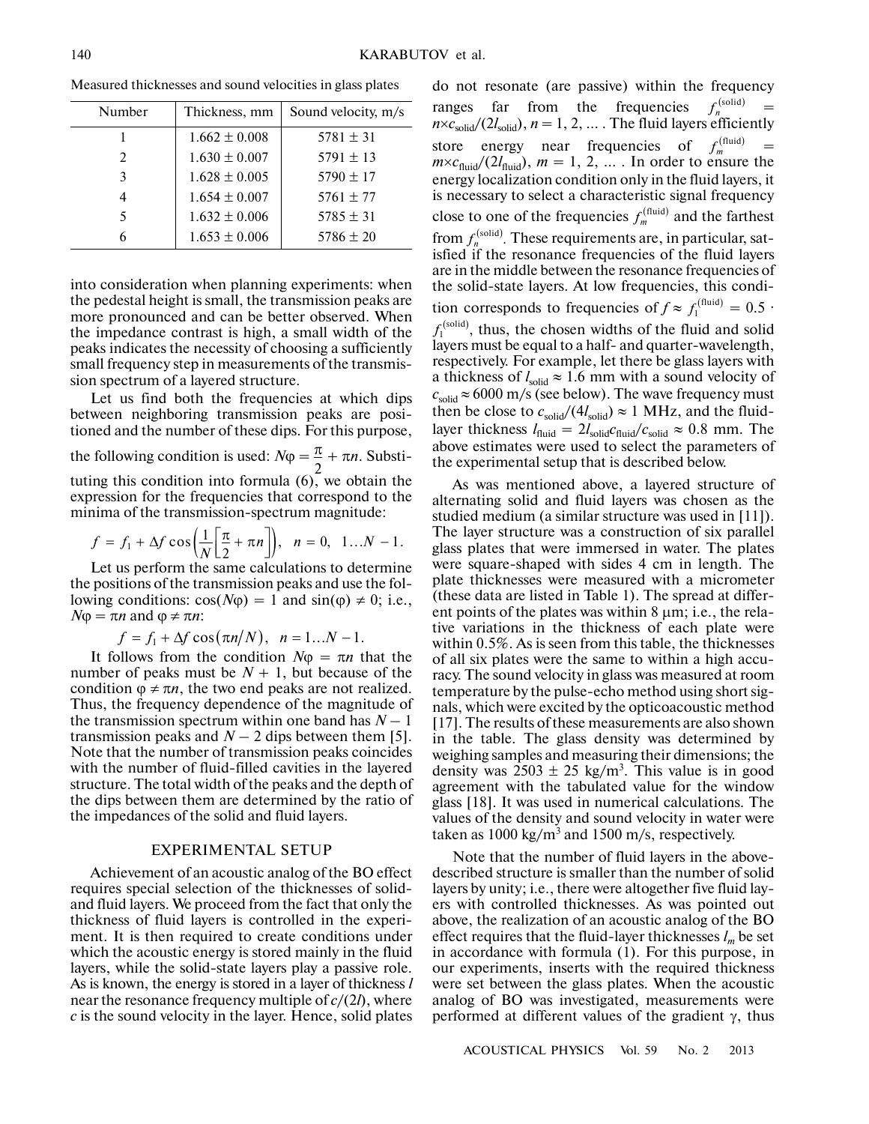| Number                      | Thickness, mm     | Sound velocity, m/s |
|-----------------------------|-------------------|---------------------|
|                             | $1.662 \pm 0.008$ | $5781 \pm 31$       |
| $\mathcal{D}_{\mathcal{A}}$ | $1.630 \pm 0.007$ | $5791 \pm 13$       |
| 3                           | $1.628 \pm 0.005$ | $5790 \pm 17$       |
|                             | $1.654 \pm 0.007$ | $5761 \pm 77$       |
| 5.                          | $1.632 \pm 0.006$ | $5785 \pm 31$       |
|                             | $1.653 \pm 0.006$ | $5786 \pm 20$       |

Measured thicknesses and sound velocities in glass plates

into consideration when planning experiments: when the pedestal height is small, the transmission peaks are more pronounced and can be better observed. When the impedance contrast is high, a small width of the peaks indicates the necessity of choosing a sufficiently small frequency step in measurements of the transmis sion spectrum of a layered structure.

Let us find both the frequencies at which dips between neighboring transmission peaks are posi tioned and the number of these dips. For this purpose, the following condition is used:  $N\varphi = \frac{\pi}{2} + \pi n$ . Substituting this condition into formula  $(6)$ , we obtain the expression for the frequencies that correspond to the minima of the transmission-spectrum magnitude: 2

$$
f = f_1 + \Delta f \cos\left(\frac{1}{N}\left[\frac{\pi}{2} + \pi n\right]\right), \quad n = 0, \quad 1...N - 1.
$$

Let us perform the same calculations to determine the positions of the transmission peaks and use the fol lowing conditions:  $cos(N\varphi) = 1$  and  $sin(\varphi) \neq 0$ ; i.e.,  $N$ φ = π*n* and φ ≠ π*n*:

$$
f = f_1 + \Delta f \cos(\pi n/N), \quad n = 1...N - 1.
$$

It follows from the condition  $N\varphi = \pi n$  that the number of peaks must be  $N + 1$ , but because of the condition  $\varphi \neq \pi n$ , the two end peaks are not realized. Thus, the frequency dependence of the magnitude of the transmission spectrum within one band has  $N-1$ transmission peaks and  $N - 2$  dips between them [5]. Note that the number of transmission peaks coincides with the number of fluid-filled cavities in the layered structure. The total width of the peaks and the depth of the dips between them are determined by the ratio of the impedances of the solid and fluid layers.

#### EXPERIMENTAL SETUP

Achievement of an acoustic analog of the BO effect requires special selection of the thicknesses of solid and fluid layers. We proceed from the fact that only the thickness of fluid layers is controlled in the experi ment. It is then required to create conditions under which the acoustic energy is stored mainly in the fluid layers, while the solid-state layers play a passive role. As is known, the energy is stored in a layer of thickness *l* near the resonance frequency multiple of *c*/(2*l*), where *c* is the sound velocity in the layer. Hence, solid plates do not resonate (are passive) within the frequency ranges far from the frequencies  $f_n^{\text{(solid)}} =$  $n \times c_{\text{solid}}/(2l_{\text{solid}}), n = 1, 2, ...$  The fluid layers efficiently store energy near frequencies of  $f_m^{(\text{fluid})}$  =  $m \times c_{\text{fluid}}/(2l_{\text{fluid}})$ ,  $m = 1, 2, ...$  In order to ensure the energy localization condition only in the fluid layers, it is necessary to select a characteristic signal frequency close to one of the frequencies  $f_m^{\text{(fluid)}}$  and the farthest from  $f_n^{\text{(solid)}}$ . These requirements are, in particular, satisfied if the resonance frequencies of the fluid layers are in the middle between the resonance frequencies of the solid-state layers. At low frequencies, this condi tion corresponds to frequencies of  $f \approx f_1^{\text{(fluid)}} = 0.5$ .  $f_1^{\text{(solid)}}$ , thus, the chosen widths of the fluid and solid layers must be equal to a half- and quarter-wavelength, respectively. For example, let there be glass layers with a thickness of  $l_{solid} \approx 1.6$  mm with a sound velocity of  $c_{\text{solid}} \approx 6000 \text{ m/s}$  (see below). The wave frequency must then be close to  $c_{\text{solid}}/(4l_{\text{solid}}) \approx 1$  MHz, and the fluidlayer thickness  $l_{\text{fluid}} = 2l_{\text{solid}}c_{\text{fluid}}/c_{\text{solid}} \approx 0.8 \text{ mm}$ . The above estimates were used to select the parameters of the experimental setup that is described below.  $f_n^{\rm (solid)}$ 

As was mentioned above, a layered structure of alternating solid and fluid layers was chosen as the studied medium (a similar structure was used in [11]). The layer structure was a construction of six parallel glass plates that were immersed in water. The plates were square-shaped with sides 4 cm in length. The plate thicknesses were measured with a micrometer (these data are listed in Table 1). The spread at differ ent points of the plates was within 8 μm; i.e., the rela tive variations in the thickness of each plate were within 0.5%. As is seen from this table, the thicknesses of all six plates were the same to within a high accu racy. The sound velocity in glass was measured at room temperature by the pulse-echo method using short sig nals, which were excited by the opticoacoustic method [17]. The results of these measurements are also shown in the table. The glass density was determined by weighing samples and measuring their dimensions; the density was  $2503 \pm 25$  kg/m<sup>3</sup>. This value is in good agreement with the tabulated value for the window glass [18]. It was used in numerical calculations. The values of the density and sound velocity in water were taken as  $1000 \text{ kg/m}^3$  and  $1500 \text{ m/s}$ , respectively.

Note that the number of fluid layers in the above described structure is smaller than the number of solid layers by unity; i.e., there were altogether five fluid lay ers with controlled thicknesses. As was pointed out above, the realization of an acoustic analog of the BO effect requires that the fluid-layer thicknesses *lm* be set in accordance with formula (1). For this purpose, in our experiments, inserts with the required thickness were set between the glass plates. When the acoustic analog of BO was investigated, measurements were performed at different values of the gradient  $γ$ , thus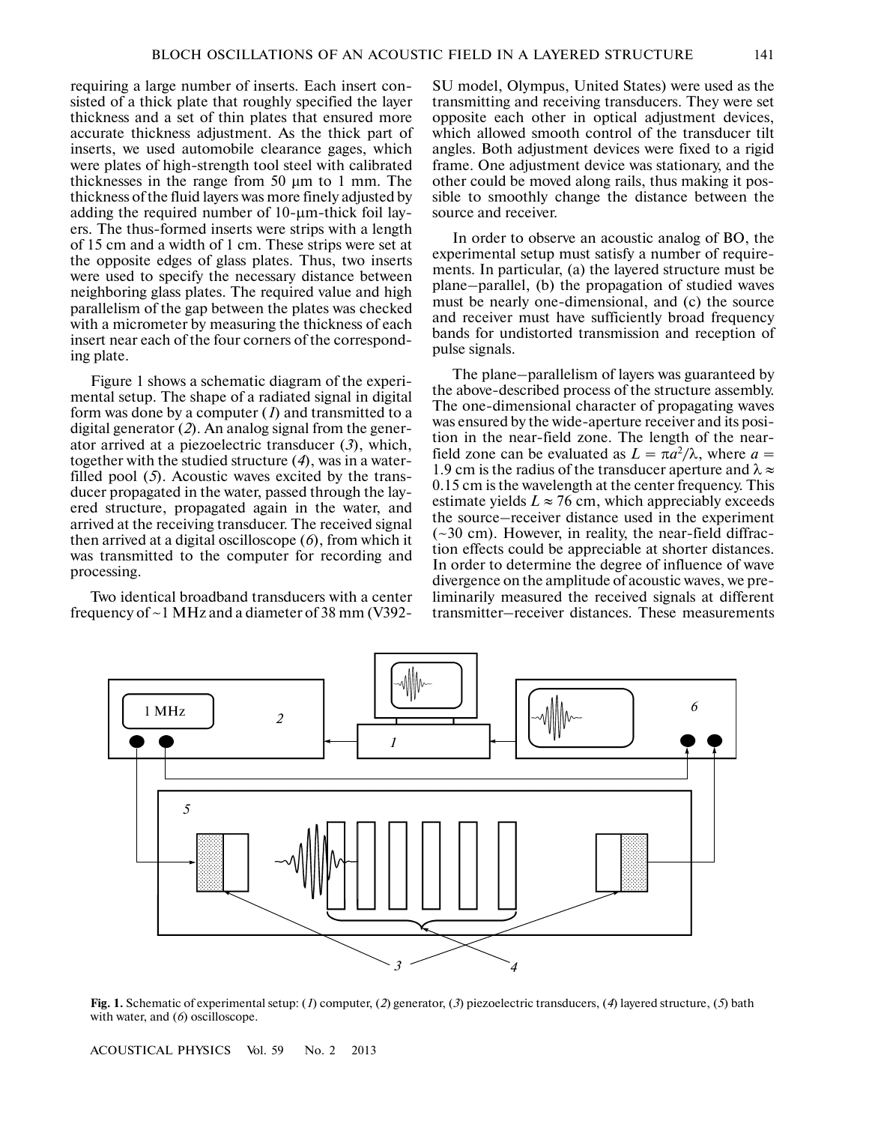requiring a large number of inserts. Each insert con sisted of a thick plate that roughly specified the layer thickness and a set of thin plates that ensured more accurate thickness adjustment. As the thick part of inserts, we used automobile clearance gages, which were plates of high-strength tool steel with calibrated thicknesses in the range from 50 μm to 1 mm. The thickness of the fluid layers was more finely adjusted by adding the required number of 10-μm-thick foil lay ers. The thus-formed inserts were strips with a length of 15 cm and a width of 1 cm. These strips were set at the opposite edges of glass plates. Thus, two inserts were used to specify the necessary distance between neighboring glass plates. The required value and high parallelism of the gap between the plates was checked with a micrometer by measuring the thickness of each insert near each of the four corners of the correspond ing plate.

Figure 1 shows a schematic diagram of the experi mental setup. The shape of a radiated signal in digital form was done by a computer (*1*) and transmitted to a digital generator (*2*). An analog signal from the gener ator arrived at a piezoelectric transducer (*3*), which, together with the studied structure (*4*), was in a water filled pool (*5*). Acoustic waves excited by the trans ducer propagated in the water, passed through the lay ered structure, propagated again in the water, and arrived at the receiving transducer. The received signal then arrived at a digital oscilloscope (*6*), from which it was transmitted to the computer for recording and processing.

Two identical broadband transducers with a center frequency of ~1 MHz and a diameter of 38 mm (V392-

SU model, Olympus, United States) were used as the transmitting and receiving transducers. They were set opposite each other in optical adjustment devices, which allowed smooth control of the transducer tilt angles. Both adjustment devices were fixed to a rigid frame. One adjustment device was stationary, and the other could be moved along rails, thus making it pos sible to smoothly change the distance between the source and receiver.

In order to observe an acoustic analog of BO, the experimental setup must satisfy a number of require ments. In particular, (a) the layered structure must be plane–parallel, (b) the propagation of studied waves must be nearly one-dimensional, and (c) the source and receiver must have sufficiently broad frequency bands for undistorted transmission and reception of pulse signals.

The plane–parallelism of layers was guaranteed by the above-described process of the structure assembly. The one-dimensional character of propagating waves was ensured by the wide-aperture receiver and its posi tion in the near-field zone. The length of the near field zone can be evaluated as  $L = \pi a^2/\lambda$ , where  $a =$ 1.9 cm is the radius of the transducer aperture and  $\lambda \approx$ 0.15 cm is the wavelength at the center frequency. This estimate yields  $L \approx 76$  cm, which appreciably exceeds the source–receiver distance used in the experiment (~30 cm). However, in reality, the near-field diffrac tion effects could be appreciable at shorter distances. In order to determine the degree of influence of wave divergence on the amplitude of acoustic waves, we pre liminarily measured the received signals at different transmitter–receiver distances. These measurements



**Fig. 1.** Schematic of experimental setup: (*1*) computer, (*2*) generator, (*3*) piezoelectric transducers, (*4*) layered structure, (*5*) bath with water, and (6) oscilloscope.

ACOUSTICAL PHYSICS Vol. 59 No. 2 2013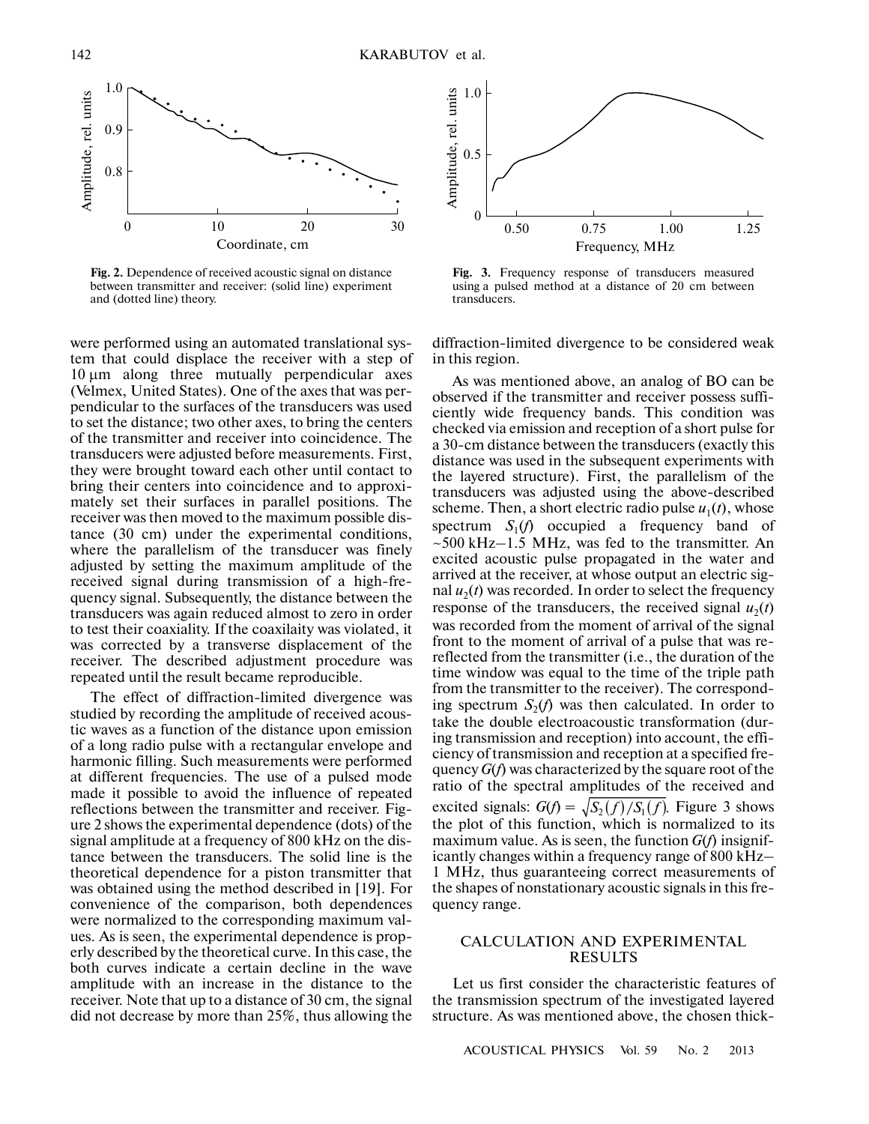

**Fig. 2.** Dependence of received acoustic signal on distance between transmitter and receiver: (solid line) experiment and (dotted line) theory.

were performed using an automated translational sys tem that could displace the receiver with a step of 10 μm along three mutually perpendicular axes (Velmex, United States). One of the axes that was per pendicular to the surfaces of the transducers was used to set the distance; two other axes, to bring the centers of the transmitter and receiver into coincidence. The transducers were adjusted before measurements. First, they were brought toward each other until contact to bring their centers into coincidence and to approxi mately set their surfaces in parallel positions. The receiver was then moved to the maximum possible dis tance (30 cm) under the experimental conditions, where the parallelism of the transducer was finely adjusted by setting the maximum amplitude of the received signal during transmission of a high-fre quency signal. Subsequently, the distance between the transducers was again reduced almost to zero in order to test their coaxiality. If the coaxilaity was violated, it was corrected by a transverse displacement of the receiver. The described adjustment procedure was repeated until the result became reproducible.

The effect of diffraction-limited divergence was studied by recording the amplitude of received acous tic waves as a function of the distance upon emission of a long radio pulse with a rectangular envelope and harmonic filling. Such measurements were performed at different frequencies. The use of a pulsed mode made it possible to avoid the influence of repeated reflections between the transmitter and receiver. Fig ure 2 shows the experimental dependence (dots) of the signal amplitude at a frequency of 800 kHz on the dis tance between the transducers. The solid line is the theoretical dependence for a piston transmitter that was obtained using the method described in [19]. For convenience of the comparison, both dependences were normalized to the corresponding maximum val ues. As is seen, the experimental dependence is prop erly described by the theoretical curve. In this case, the both curves indicate a certain decline in the wave amplitude with an increase in the distance to the receiver. Note that up to a distance of 30 cm, the signal did not decrease by more than 25%, thus allowing the



**Fig. 3.** Frequency response of transducers measured using a pulsed method at a distance of 20 cm between transducers.

diffraction-limited divergence to be considered weak in this region.

As was mentioned above, an analog of BO can be observed if the transmitter and receiver possess suffi ciently wide frequency bands. This condition was checked via emission and reception of a short pulse for a 30-cm distance between the transducers (exactly this distance was used in the subsequent experiments with the layered structure). First, the parallelism of the transducers was adjusted using the above-described scheme. Then, a short electric radio pulse  $u_1(t)$ , whose spectrum  $S_1(f)$  occupied a frequency band of  $\sim$ 500 kHz–1.5 MHz, was fed to the transmitter. An excited acoustic pulse propagated in the water and arrived at the receiver, at whose output an electric sig nal  $u_2(t)$  was recorded. In order to select the frequency response of the transducers, the received signal  $u_2(t)$ was recorded from the moment of arrival of the signal front to the moment of arrival of a pulse that was re reflected from the transmitter (i.e., the duration of the time window was equal to the time of the triple path from the transmitter to the receiver). The correspond ing spectrum  $S_2(f)$  was then calculated. In order to take the double electroacoustic transformation (dur ing transmission and reception) into account, the effi ciency of transmission and reception at a specified fre quency *G*(*f*) was characterized by the square root of the ratio of the spectral amplitudes of the received and excited signals:  $G(f) = \sqrt{S_2(f)/S_1(f)}$ . Figure 3 shows the plot of this function, which is normalized to its maximum value. As is seen, the function *G*(*f*) insignif icantly changes within a frequency range of 800 kHz– 1 MHz, thus guaranteeing correct measurements of the shapes of nonstationary acoustic signals in this fre quency range.

## CALCULATION AND EXPERIMENTAL RESULTS

Let us first consider the characteristic features of the transmission spectrum of the investigated layered structure. As was mentioned above, the chosen thick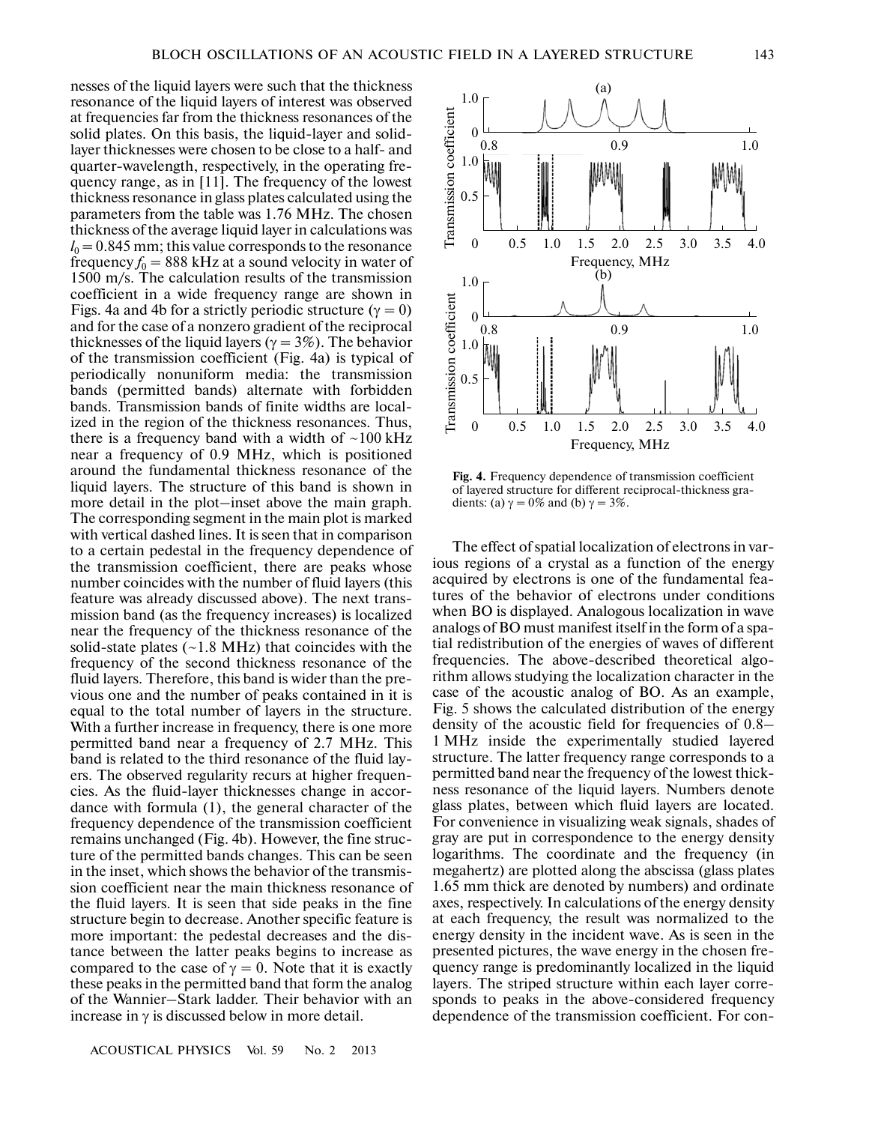nesses of the liquid layers were such that the thickness resonance of the liquid layers of interest was observed at frequencies far from the thickness resonances of the solid plates. On this basis, the liquid-layer and solid layer thicknesses were chosen to be close to a half- and quarter-wavelength, respectively, in the operating fre quency range, as in [11]. The frequency of the lowest thickness resonance in glass plates calculated using the parameters from the table was 1.76 MHz. The chosen thickness of the average liquid layer in calculations was  $l_0 = 0.845$  mm; this value corresponds to the resonance frequency  $f_0 = 888$  kHz at a sound velocity in water of 1500 m/s. The calculation results of the transmission coefficient in a wide frequency range are shown in Figs. 4a and 4b for a strictly periodic structure ( $\gamma = 0$ ) and for the case of a nonzero gradient of the reciprocal thicknesses of the liquid layers ( $\gamma = 3\%$ ). The behavior of the transmission coefficient (Fig. 4a) is typical of periodically nonuniform media: the transmission bands (permitted bands) alternate with forbidden bands. Transmission bands of finite widths are local ized in the region of the thickness resonances. Thus, there is a frequency band with a width of  $\sim$ 100 kHz near a frequency of 0.9 MHz, which is positioned around the fundamental thickness resonance of the liquid layers. The structure of this band is shown in more detail in the plot–inset above the main graph. The corresponding segment in the main plot is marked with vertical dashed lines. It is seen that in comparison to a certain pedestal in the frequency dependence of the transmission coefficient, there are peaks whose number coincides with the number of fluid layers (this feature was already discussed above). The next trans mission band (as the frequency increases) is localized near the frequency of the thickness resonance of the solid-state plates (~1.8 MHz) that coincides with the frequency of the second thickness resonance of the fluid layers. Therefore, this band is wider than the pre vious one and the number of peaks contained in it is equal to the total number of layers in the structure. With a further increase in frequency, there is one more permitted band near a frequency of 2.7 MHz. This band is related to the third resonance of the fluid lay ers. The observed regularity recurs at higher frequen cies. As the fluid-layer thicknesses change in accor dance with formula (1), the general character of the frequency dependence of the transmission coefficient remains unchanged (Fig. 4b). However, the fine struc ture of the permitted bands changes. This can be seen in the inset, which shows the behavior of the transmis sion coefficient near the main thickness resonance of the fluid layers. It is seen that side peaks in the fine structure begin to decrease. Another specific feature is more important: the pedestal decreases and the dis tance between the latter peaks begins to increase as compared to the case of  $\gamma = 0$ . Note that it is exactly these peaks in the permitted band that form the analog of the Wannier–Stark ladder. Their behavior with an increase in γ is discussed below in more detail.



**Fig. 4.** Frequency dependence of transmission coefficient of layered structure for different reciprocal-thickness gra dients: (a)  $\gamma = 0\%$  and (b)  $\gamma = 3\%$ .

The effect of spatial localization of electrons in var ious regions of a crystal as a function of the energy acquired by electrons is one of the fundamental fea tures of the behavior of electrons under conditions when BO is displayed. Analogous localization in wave analogs of BO must manifest itself in the form of a spa tial redistribution of the energies of waves of different frequencies. The above-described theoretical algo rithm allows studying the localization character in the case of the acoustic analog of BO. As an example, Fig. 5 shows the calculated distribution of the energy density of the acoustic field for frequencies of 0.8– 1 MHz inside the experimentally studied layered structure. The latter frequency range corresponds to a permitted band near the frequency of the lowest thick ness resonance of the liquid layers. Numbers denote glass plates, between which fluid layers are located. For convenience in visualizing weak signals, shades of gray are put in correspondence to the energy density logarithms. The coordinate and the frequency (in megahertz) are plotted along the abscissa (glass plates 1.65 mm thick are denoted by numbers) and ordinate axes, respectively. In calculations of the energy density at each frequency, the result was normalized to the energy density in the incident wave. As is seen in the presented pictures, the wave energy in the chosen fre quency range is predominantly localized in the liquid layers. The striped structure within each layer corre sponds to peaks in the above-considered frequency dependence of the transmission coefficient. For con-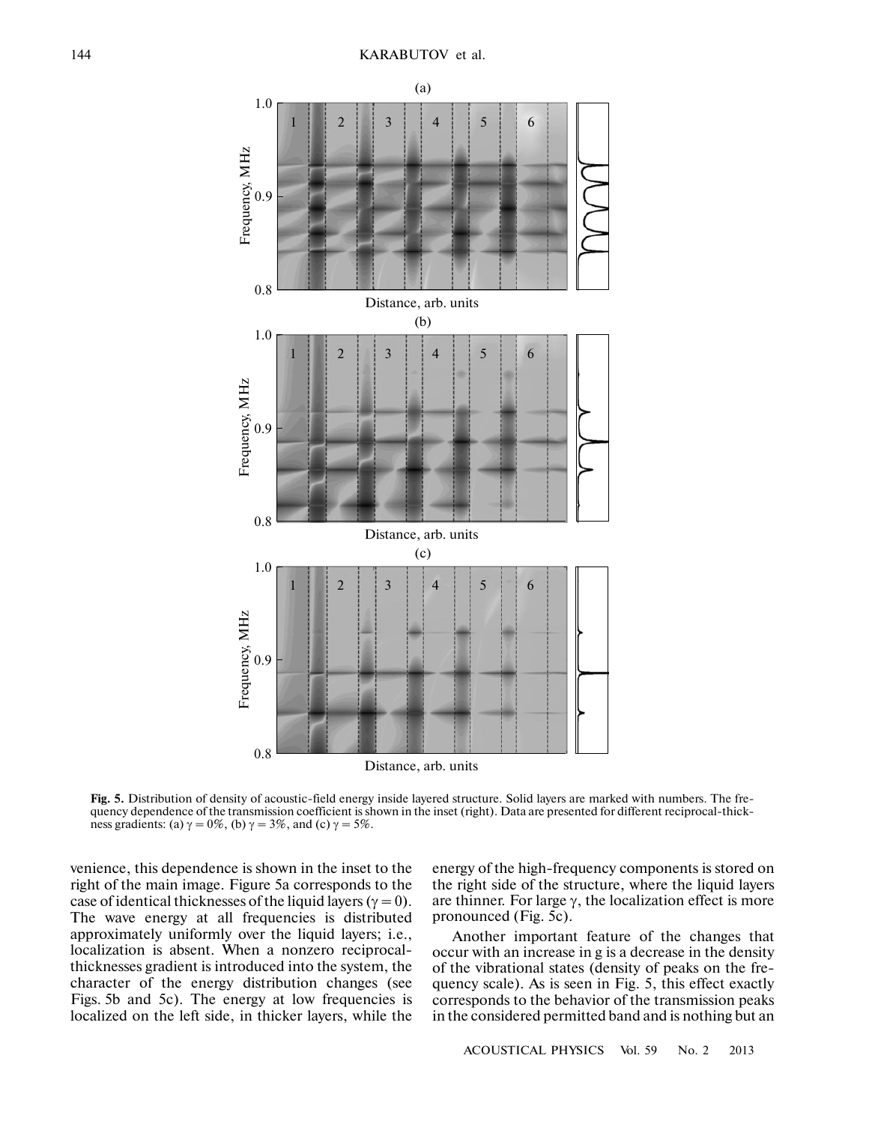

**Fig. 5.** Distribution of density of acoustic-field energy inside layered structure. Solid layers are marked with numbers. The fre quency dependence of the transmission coefficient is shown in the inset (right). Data are presented for different reciprocal-thick ness gradients: (a)  $\gamma = 0\%$ , (b)  $\gamma = 3\%$ , and (c)  $\gamma = 5\%$ .

venience, this dependence is shown in the inset to the right of the main image. Figure 5a corresponds to the case of identical thicknesses of the liquid layers ( $\gamma = 0$ ). The wave energy at all frequencies is distributed approximately uniformly over the liquid layers; i.e., localization is absent. When a nonzero reciprocal thicknesses gradient is introduced into the system, the character of the energy distribution changes (see Figs. 5b and 5c). The energy at low frequencies is localized on the left side, in thicker layers, while the

energy of the high-frequency components is stored on the right side of the structure, where the liquid layers are thinner. For large  $\gamma$ , the localization effect is more pronounced (Fig. 5c).

Another important feature of the changes that occur with an increase in g is a decrease in the density of the vibrational states (density of peaks on the fre quency scale). As is seen in Fig. 5, this effect exactly corresponds to the behavior of the transmission peaks in the considered permitted band and is nothing but an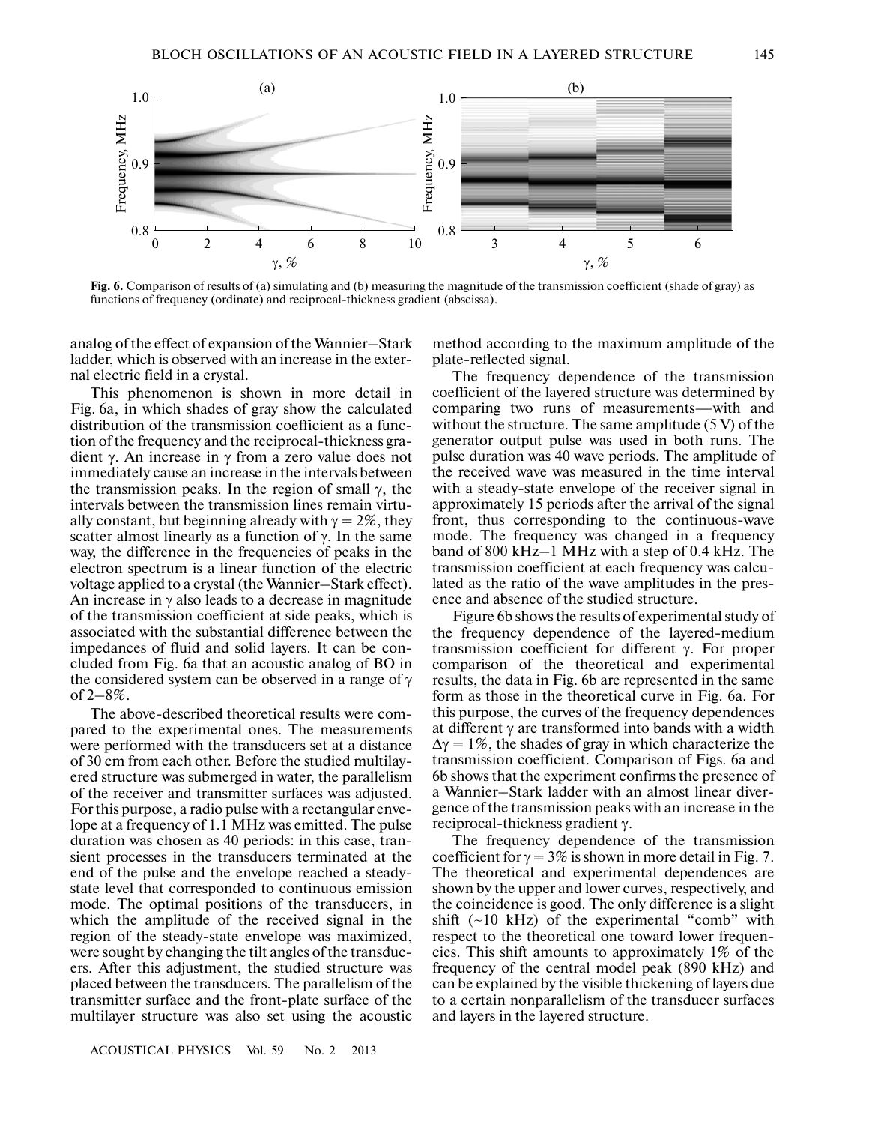

**Fig. 6.** Comparison of results of (a) simulating and (b) measuring the magnitude of the transmission coefficient (shade of gray) as functions of frequency (ordinate) and reciprocal-thickness gradient (abscissa).

analog of the effect of expansion of the Wannier–Stark ladder, which is observed with an increase in the exter nal electric field in a crystal.

This phenomenon is shown in more detail in Fig. 6a, in which shades of gray show the calculated distribution of the transmission coefficient as a func tion of the frequency and the reciprocal-thickness gra dient γ. An increase in γ from a zero value does not immediately cause an increase in the intervals between the transmission peaks. In the region of small  $\gamma$ , the intervals between the transmission lines remain virtu ally constant, but beginning already with  $\gamma = 2\%$ , they scatter almost linearly as a function of  $\gamma$ . In the same way, the difference in the frequencies of peaks in the electron spectrum is a linear function of the electric voltage applied to a crystal (the Wannier–Stark effect). An increase in  $\gamma$  also leads to a decrease in magnitude of the transmission coefficient at side peaks, which is associated with the substantial difference between the impedances of fluid and solid layers. It can be con cluded from Fig. 6a that an acoustic analog of BO in the considered system can be observed in a range of γ of 2–8%.

The above-described theoretical results were com pared to the experimental ones. The measurements were performed with the transducers set at a distance of 30 cm from each other. Before the studied multilay ered structure was submerged in water, the parallelism of the receiver and transmitter surfaces was adjusted. For this purpose, a radio pulse with a rectangular enve lope at a frequency of 1.1 MHz was emitted. The pulse duration was chosen as 40 periods: in this case, tran sient processes in the transducers terminated at the end of the pulse and the envelope reached a steady state level that corresponded to continuous emission mode. The optimal positions of the transducers, in which the amplitude of the received signal in the region of the steady-state envelope was maximized, were sought by changing the tilt angles of the transduc ers. After this adjustment, the studied structure was placed between the transducers. The parallelism of the transmitter surface and the front-plate surface of the multilayer structure was also set using the acoustic method according to the maximum amplitude of the plate-reflected signal.

The frequency dependence of the transmission coefficient of the layered structure was determined by comparing two runs of measurements—with and without the structure. The same amplitude  $(5 V)$  of the generator output pulse was used in both runs. The pulse duration was 40 wave periods. The amplitude of the received wave was measured in the time interval with a steady-state envelope of the receiver signal in approximately 15 periods after the arrival of the signal front, thus corresponding to the continuous-wave mode. The frequency was changed in a frequency band of 800 kHz–1 MHz with a step of 0.4 kHz. The transmission coefficient at each frequency was calcu lated as the ratio of the wave amplitudes in the pres ence and absence of the studied structure.

Figure 6b shows the results of experimental study of the frequency dependence of the layered-medium transmission coefficient for different γ. For proper comparison of the theoretical and experimental results, the data in Fig. 6b are represented in the same form as those in the theoretical curve in Fig. 6a. For this purpose, the curves of the frequency dependences at different  $\gamma$  are transformed into bands with a width  $\Delta y = 1\%$ , the shades of gray in which characterize the transmission coefficient. Comparison of Figs. 6a and 6b shows that the experiment confirms the presence of a Wannier–Stark ladder with an almost linear diver gence of the transmission peaks with an increase in the reciprocal-thickness gradient γ.

The frequency dependence of the transmission coefficient for  $\gamma = 3\%$  is shown in more detail in Fig. 7. The theoretical and experimental dependences are shown by the upper and lower curves, respectively, and the coincidence is good. The only difference is a slight shift  $(-10 \text{ kHz})$  of the experimental "comb" with respect to the theoretical one toward lower frequen cies. This shift amounts to approximately 1% of the frequency of the central model peak (890 kHz) and can be explained by the visible thickening of layers due to a certain nonparallelism of the transducer surfaces and layers in the layered structure.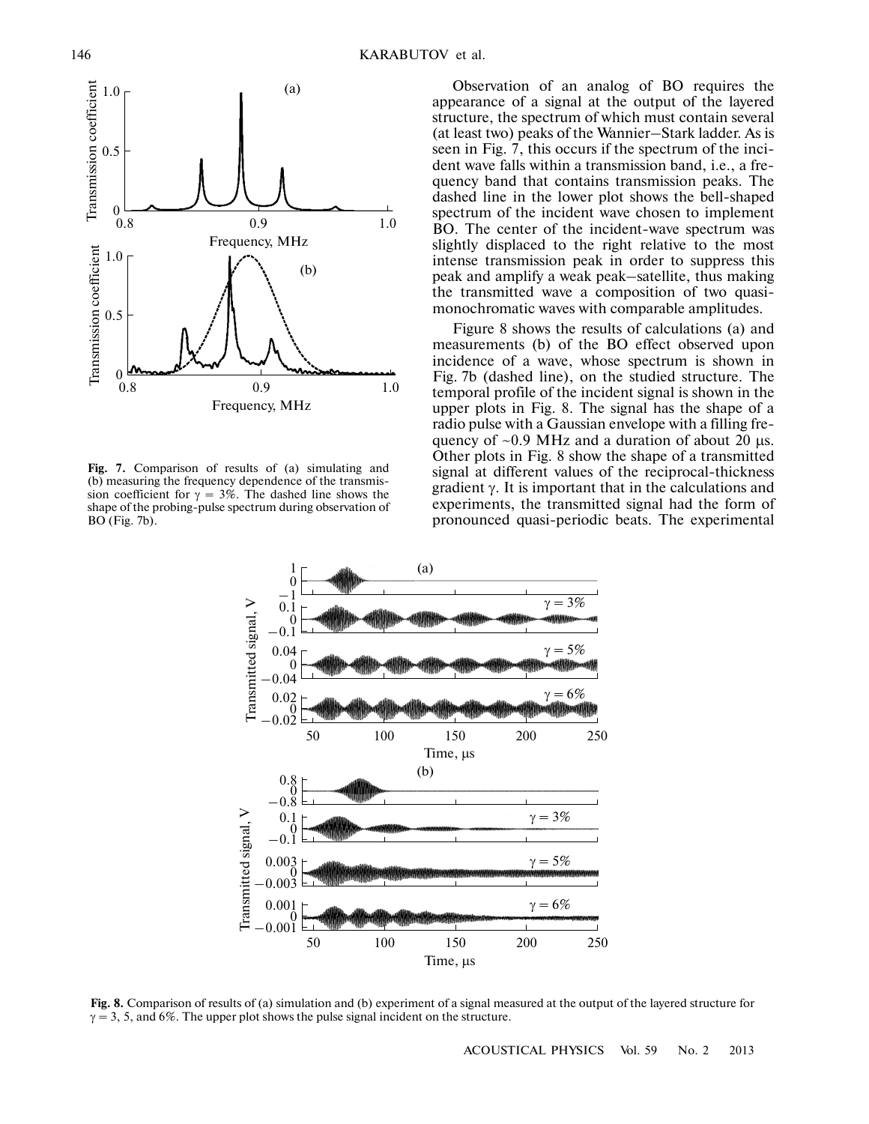

**Fig. 7.** Comparison of results of (a) simulating and (b) measuring the frequency dependence of the transmis sion coefficient for  $\gamma = 3\%$ . The dashed line shows the shape of the probing-pulse spectrum during observation of BO (Fig. 7b).

Observation of an analog of BO requires the appearance of a signal at the output of the layered structure, the spectrum of which must contain several (at least two) peaks of the Wannier–Stark ladder. As is seen in Fig. 7, this occurs if the spectrum of the inci dent wave falls within a transmission band, i.e., a fre quency band that contains transmission peaks. The dashed line in the lower plot shows the bell-shaped spectrum of the incident wave chosen to implement BO. The center of the incident-wave spectrum was slightly displaced to the right relative to the most intense transmission peak in order to suppress this peak and amplify a weak peak–satellite, thus making the transmitted wave a composition of two quasi monochromatic waves with comparable amplitudes.

Figure 8 shows the results of calculations (a) and measurements (b) of the BO effect observed upon incidence of a wave, whose spectrum is shown in Fig. 7b (dashed line), on the studied structure. The temporal profile of the incident signal is shown in the upper plots in Fig. 8. The signal has the shape of a radio pulse with a Gaussian envelope with a filling fre quency of  $\sim 0.9$  MHz and a duration of about 20 μs. Other plots in Fig. 8 show the shape of a transmitted signal at different values of the reciprocal-thickness gradient γ. It is important that in the calculations and experiments, the transmitted signal had the form of pronounced quasi-periodic beats. The experimental



**Fig. 8.** Comparison of results of (a) simulation and (b) experiment of a signal measured at the output of the layered structure for  $\gamma = 3$ , 5, and 6%. The upper plot shows the pulse signal incident on the structure.